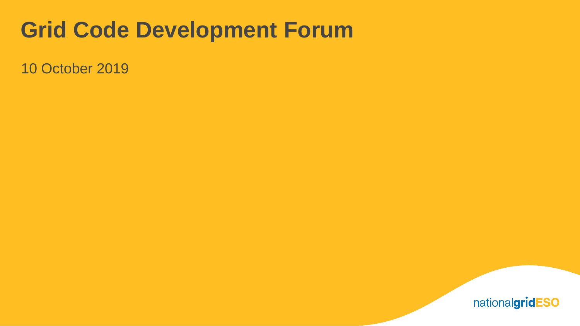# **Grid Code Development Forum**

10 October 2019

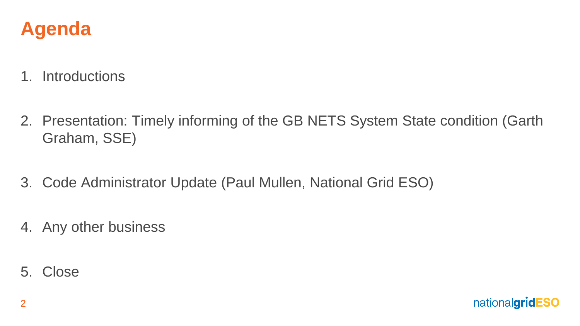

- 1. Introductions
- 2. Presentation: Timely informing of the GB NETS System State condition (Garth Graham, SSE)
- 3. Code Administrator Update (Paul Mullen, National Grid ESO)
- 4. Any other business
- 5. Close

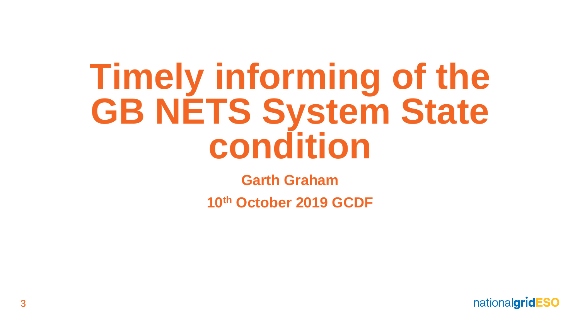# **Timely informing of the GB NETS System State condition**

**Garth Graham** 

**10th October 2019 GCDF**

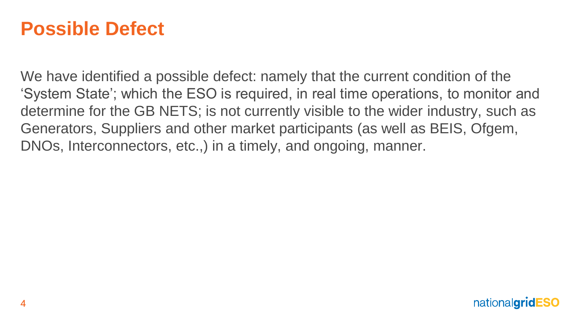### **Possible Defect**

We have identified a possible defect: namely that the current condition of the 'System State'; which the ESO is required, in real time operations, to monitor and determine for the GB NETS; is not currently visible to the wider industry, such as Generators, Suppliers and other market participants (as well as BEIS, Ofgem, DNOs, Interconnectors, etc.,) in a timely, and ongoing, manner.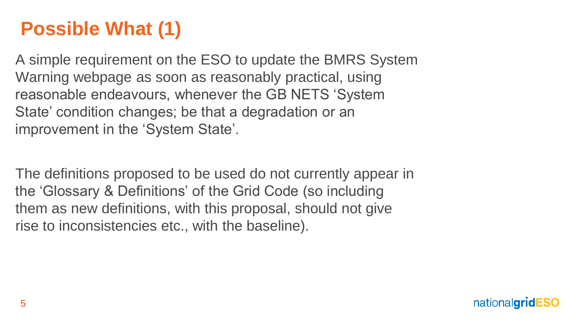# **Possible What (1)**

A simple requirement on the ESO to update the BMRS System Warning webpage as soon as reasonably practical, using reasonable endeavours, whenever the GB NETS 'System State' condition changes; be that a degradation or an improvement in the 'System State'.

The definitions proposed to be used do not currently appear in the 'Glossary & Definitions' of the Grid Code (so including them as new definitions, with this proposal, should not give rise to inconsistencies etc., with the baseline).

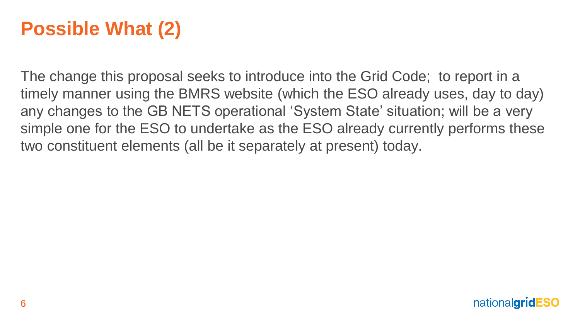# **Possible What (2)**

The change this proposal seeks to introduce into the Grid Code; to report in a timely manner using the BMRS website (which the ESO already uses, day to day) any changes to the GB NETS operational 'System State' situation; will be a very simple one for the ESO to undertake as the ESO already currently performs these two constituent elements (all be it separately at present) today.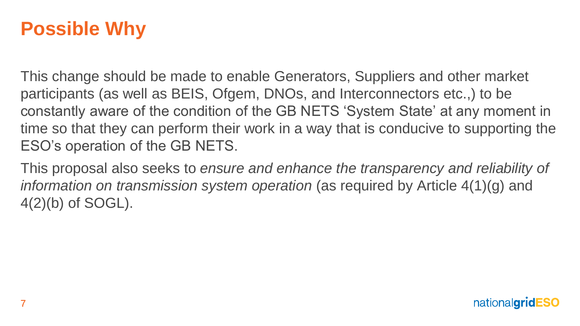# **Possible Why**

This change should be made to enable Generators, Suppliers and other market participants (as well as BEIS, Ofgem, DNOs, and Interconnectors etc.,) to be constantly aware of the condition of the GB NETS 'System State' at any moment in time so that they can perform their work in a way that is conducive to supporting the ESO's operation of the GB NETS.

This proposal also seeks to *ensure and enhance the transparency and reliability of information on transmission system operation* (as required by Article 4(1)(g) and 4(2)(b) of SOGL).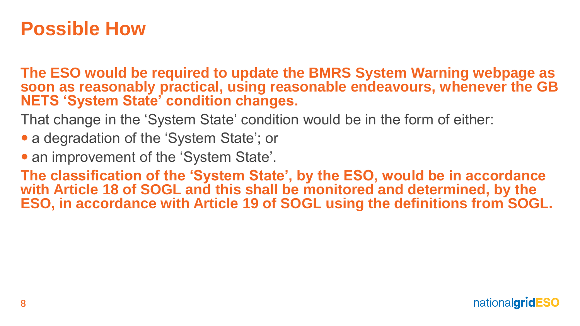### **Possible How**

**The ESO would be required to update the BMRS System Warning webpage as soon as reasonably practical, using reasonable endeavours, whenever the GB NETS 'System State' condition changes.**

That change in the 'System State' condition would be in the form of either:

• a degradation of the 'System State'; or

• an improvement of the 'System State'.

**The classification of the 'System State', by the ESO, would be in accordance with Article 18 of SOGL and this shall be monitored and determined, by the ESO, in accordance with Article 19 of SOGL using the definitions from SOGL.**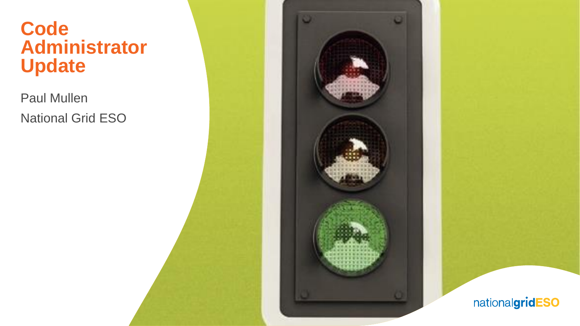### **Code Administrator Update**

Paul Mullen National Grid ESO



nationalgridESO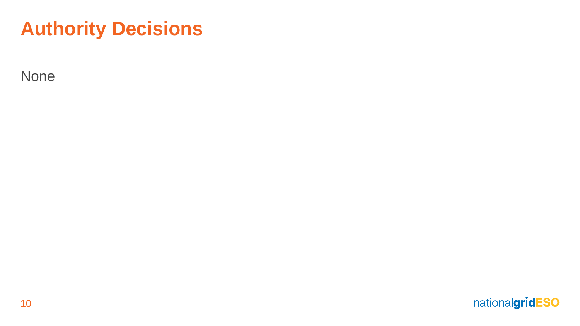# **Authority Decisions**

None

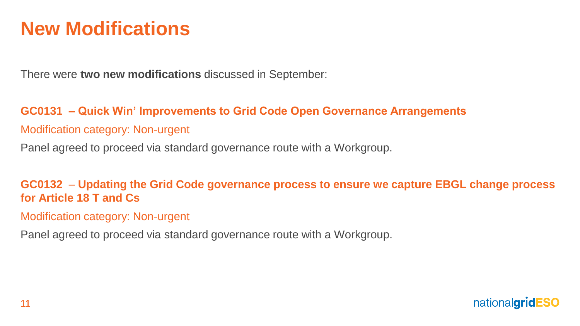## **New Modifications**

There were **two new modifications** discussed in September:

#### **GC0131 – Quick Win' Improvements to Grid Code Open Governance Arrangements**

#### Modification category: Non-urgent

Panel agreed to proceed via standard governance route with a Workgroup.

**GC0132** – **Updating the Grid Code governance process to ensure we capture EBGL change process for Article 18 T and Cs**

Modification category: Non-urgent

Panel agreed to proceed via standard governance route with a Workgroup.

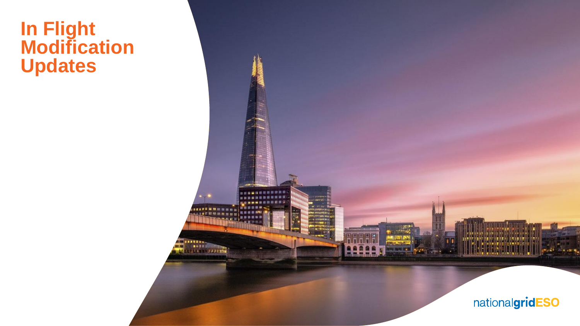### **In Flight Modification Updates**

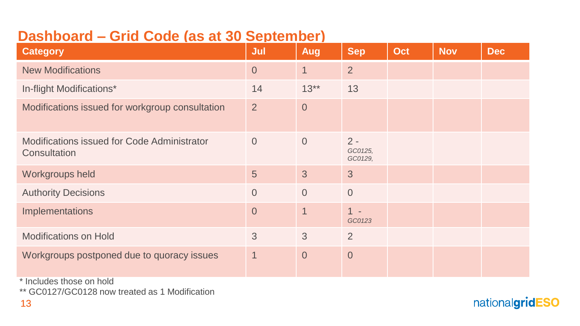### **Dashboard – Grid Code (as at 30 September)**

| <b>Category</b>                                             | Jul                     | Aug            | <b>Sep</b>                  | Oct | <b>Nov</b> | <b>Dec</b> |
|-------------------------------------------------------------|-------------------------|----------------|-----------------------------|-----|------------|------------|
| <b>New Modifications</b>                                    | $\overline{0}$          | $\mathbf{1}$   | $\overline{2}$              |     |            |            |
| In-flight Modifications*                                    | 14                      | $13**$         | 13                          |     |            |            |
| Modifications issued for workgroup consultation             | $\overline{2}$          | $\overline{0}$ |                             |     |            |            |
| Modifications issued for Code Administrator<br>Consultation | $\overline{0}$          | $\overline{0}$ | $2 -$<br>GC0125,<br>GC0129, |     |            |            |
| Workgroups held                                             | 5                       | 3              | 3                           |     |            |            |
| <b>Authority Decisions</b>                                  | $\overline{0}$          | $\overline{0}$ | $\overline{0}$              |     |            |            |
| Implementations                                             | $\overline{0}$          | $\overline{1}$ | $1 -$<br>GC0123             |     |            |            |
| <b>Modifications on Hold</b>                                | 3                       | 3              | $\overline{2}$              |     |            |            |
| Workgroups postponed due to quoracy issues                  | $\overline{\mathbf{1}}$ | $\overline{0}$ | $\theta$                    |     |            |            |

\* Includes those on hold

\*\* GC0127/GC0128 now treated as 1 Modification

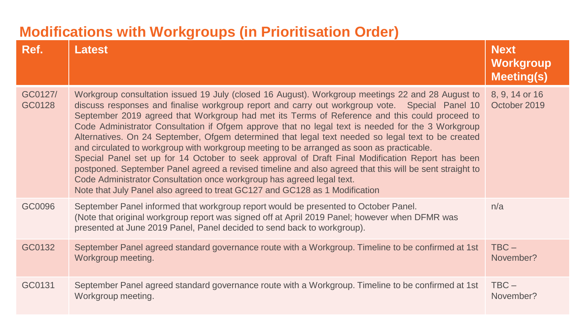### **Modifications with Workgroups (in Prioritisation Order)**

| Ref.              | <b>Latest</b>                                                                                                                                                                                                                                                                                                                                                                                                                                                                                                                                                                                                                                                                                                                                                                                                                                                                                                                                                                      | <b>Next</b><br>Workgroup<br><b>Meeting(s)</b> |
|-------------------|------------------------------------------------------------------------------------------------------------------------------------------------------------------------------------------------------------------------------------------------------------------------------------------------------------------------------------------------------------------------------------------------------------------------------------------------------------------------------------------------------------------------------------------------------------------------------------------------------------------------------------------------------------------------------------------------------------------------------------------------------------------------------------------------------------------------------------------------------------------------------------------------------------------------------------------------------------------------------------|-----------------------------------------------|
| GC0127/<br>GC0128 | Workgroup consultation issued 19 July (closed 16 August). Workgroup meetings 22 and 28 August to<br>discuss responses and finalise workgroup report and carry out workgroup vote. Special Panel 10<br>September 2019 agreed that Workgroup had met its Terms of Reference and this could proceed to<br>Code Administrator Consultation if Ofgem approve that no legal text is needed for the 3 Workgroup<br>Alternatives. On 24 September, Ofgem determined that legal text needed so legal text to be created<br>and circulated to workgroup with workgroup meeting to be arranged as soon as practicable.<br>Special Panel set up for 14 October to seek approval of Draft Final Modification Report has been<br>postponed. September Panel agreed a revised timeline and also agreed that this will be sent straight to<br>Code Administrator Consultation once workgroup has agreed legal text.<br>Note that July Panel also agreed to treat GC127 and GC128 as 1 Modification | 8, 9, 14 or 16<br>October 2019                |
| GC0096            | September Panel informed that workgroup report would be presented to October Panel.<br>(Note that original workgroup report was signed off at April 2019 Panel; however when DFMR was<br>presented at June 2019 Panel, Panel decided to send back to workgroup).                                                                                                                                                                                                                                                                                                                                                                                                                                                                                                                                                                                                                                                                                                                   | n/a                                           |
| GC0132            | September Panel agreed standard governance route with a Workgroup. Timeline to be confirmed at 1st<br>Workgroup meeting.                                                                                                                                                                                                                                                                                                                                                                                                                                                                                                                                                                                                                                                                                                                                                                                                                                                           | $TBC -$<br>November?                          |
| GC0131            | September Panel agreed standard governance route with a Workgroup. Timeline to be confirmed at 1st<br>Workgroup meeting.                                                                                                                                                                                                                                                                                                                                                                                                                                                                                                                                                                                                                                                                                                                                                                                                                                                           | $TBC -$<br>November?                          |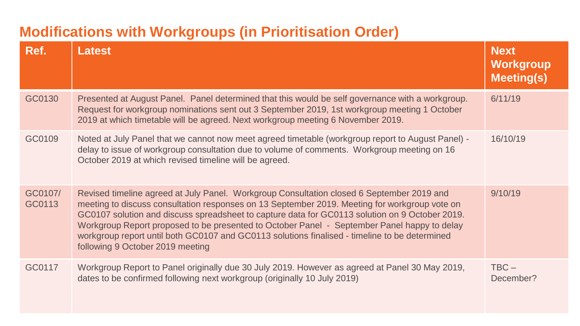### **Modifications with Workgroups (in Prioritisation Order)**

| Ref.              | <b>Latest</b>                                                                                                                                                                                                                                                                                                                                                                                                                                                                                                                    | <b>Next</b><br>Workgroup<br><b>Meeting(s)</b> |
|-------------------|----------------------------------------------------------------------------------------------------------------------------------------------------------------------------------------------------------------------------------------------------------------------------------------------------------------------------------------------------------------------------------------------------------------------------------------------------------------------------------------------------------------------------------|-----------------------------------------------|
| GC0130            | Presented at August Panel. Panel determined that this would be self governance with a workgroup.<br>Request for workgroup nominations sent out 3 September 2019, 1st workgroup meeting 1 October<br>2019 at which timetable will be agreed. Next workgroup meeting 6 November 2019.                                                                                                                                                                                                                                              | 6/11/19                                       |
| GC0109            | Noted at July Panel that we cannot now meet agreed timetable (workgroup report to August Panel) -<br>delay to issue of workgroup consultation due to volume of comments. Workgroup meeting on 16<br>October 2019 at which revised timeline will be agreed.                                                                                                                                                                                                                                                                       | 16/10/19                                      |
| GC0107/<br>GC0113 | Revised timeline agreed at July Panel. Workgroup Consultation closed 6 September 2019 and<br>meeting to discuss consultation responses on 13 September 2019. Meeting for workgroup vote on<br>GC0107 solution and discuss spreadsheet to capture data for GC0113 solution on 9 October 2019.<br>Workgroup Report proposed to be presented to October Panel - September Panel happy to delay<br>workgroup report until both GC0107 and GC0113 solutions finalised - timeline to be determined<br>following 9 October 2019 meeting | 9/10/19                                       |
| GC0117            | Workgroup Report to Panel originally due 30 July 2019. However as agreed at Panel 30 May 2019,<br>dates to be confirmed following next workgroup (originally 10 July 2019)                                                                                                                                                                                                                                                                                                                                                       | $TBC -$<br>December?                          |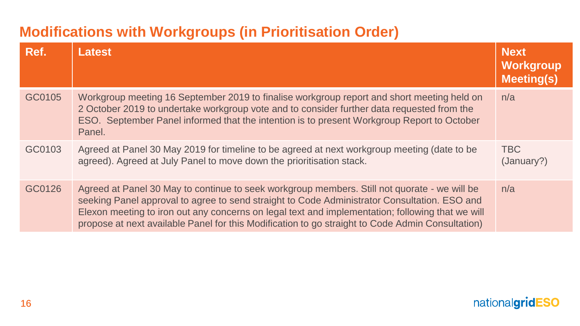### **Modifications with Workgroups (in Prioritisation Order)**

| Ref.   | <b>Latest</b>                                                                                                                                                                                                                                                                                                                                                                                        | <b>Next</b><br><b>Workgroup</b><br><b>Meeting(s)</b> |
|--------|------------------------------------------------------------------------------------------------------------------------------------------------------------------------------------------------------------------------------------------------------------------------------------------------------------------------------------------------------------------------------------------------------|------------------------------------------------------|
| GC0105 | Workgroup meeting 16 September 2019 to finalise workgroup report and short meeting held on<br>2 October 2019 to undertake workgroup vote and to consider further data requested from the<br>ESO. September Panel informed that the intention is to present Workgroup Report to October<br>Panel.                                                                                                     | n/a                                                  |
| GC0103 | Agreed at Panel 30 May 2019 for timeline to be agreed at next workgroup meeting (date to be<br>agreed). Agreed at July Panel to move down the prioritisation stack.                                                                                                                                                                                                                                  | <b>TBC</b><br>(January?)                             |
| GC0126 | Agreed at Panel 30 May to continue to seek workgroup members. Still not quorate - we will be<br>seeking Panel approval to agree to send straight to Code Administrator Consultation. ESO and<br>Elexon meeting to iron out any concerns on legal text and implementation; following that we will<br>propose at next available Panel for this Modification to go straight to Code Admin Consultation) | n/a                                                  |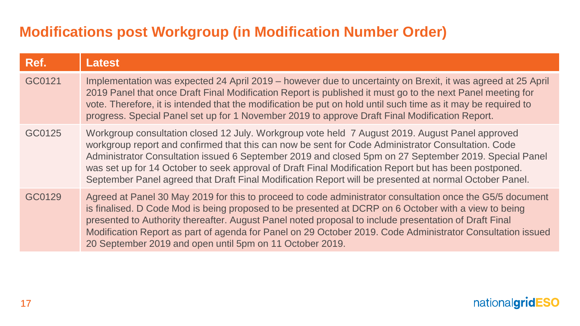### **Modifications post Workgroup (in Modification Number Order)**

| Ref.   | <b>Latest</b>                                                                                                                                                                                                                                                                                                                                                                                                                                                                                                                     |
|--------|-----------------------------------------------------------------------------------------------------------------------------------------------------------------------------------------------------------------------------------------------------------------------------------------------------------------------------------------------------------------------------------------------------------------------------------------------------------------------------------------------------------------------------------|
| GC0121 | Implementation was expected 24 April 2019 – however due to uncertainty on Brexit, it was agreed at 25 April<br>2019 Panel that once Draft Final Modification Report is published it must go to the next Panel meeting for<br>vote. Therefore, it is intended that the modification be put on hold until such time as it may be required to<br>progress. Special Panel set up for 1 November 2019 to approve Draft Final Modification Report.                                                                                      |
| GC0125 | Workgroup consultation closed 12 July. Workgroup vote held 7 August 2019. August Panel approved<br>workgroup report and confirmed that this can now be sent for Code Administrator Consultation. Code<br>Administrator Consultation issued 6 September 2019 and closed 5pm on 27 September 2019. Special Panel<br>was set up for 14 October to seek approval of Draft Final Modification Report but has been postponed.<br>September Panel agreed that Draft Final Modification Report will be presented at normal October Panel. |
| GC0129 | Agreed at Panel 30 May 2019 for this to proceed to code administrator consultation once the G5/5 document<br>is finalised. D Code Mod is being proposed to be presented at DCRP on 6 October with a view to being<br>presented to Authority thereafter. August Panel noted proposal to include presentation of Draft Final<br>Modification Report as part of agenda for Panel on 29 October 2019. Code Administrator Consultation issued<br>20 September 2019 and open until 5pm on 11 October 2019.                              |

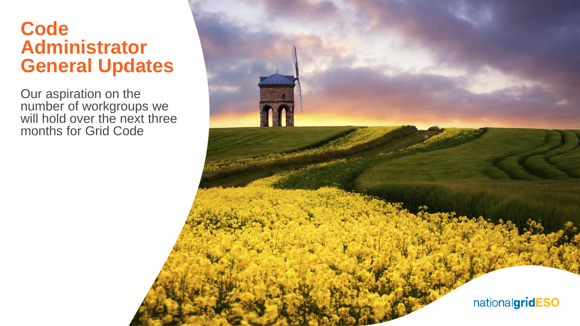### **Code Administrator General Updates**

Our aspiration on the number of workgroups we will hold over the next three months for Grid Code

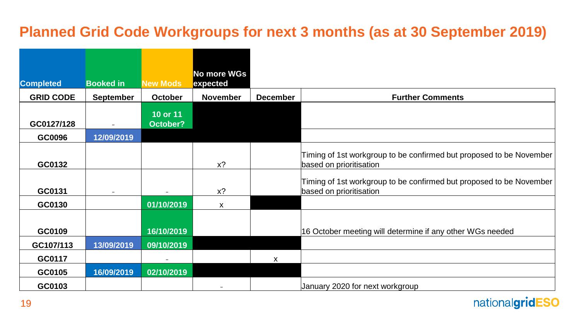### **Planned Grid Code Workgroups for next 3 months (as at 30 September 2019)**

|                  |                  |                      | No more WGs     |                 |                                                                                                |
|------------------|------------------|----------------------|-----------------|-----------------|------------------------------------------------------------------------------------------------|
| <b>Completed</b> | <b>Booked in</b> | <b>New Mods</b>      | expected        |                 |                                                                                                |
| <b>GRID CODE</b> | <b>September</b> | October              | <b>November</b> | <b>December</b> | <b>Further Comments</b>                                                                        |
| GC0127/128       |                  | 10 or 11<br>October? |                 |                 |                                                                                                |
| GC0096           | 12/09/2019       |                      |                 |                 |                                                                                                |
| GC0132           |                  |                      | $x$ ?           |                 | Timing of 1st workgroup to be confirmed but proposed to be November<br>based on prioritisation |
| GC0131           |                  |                      | $x$ ?           |                 | Timing of 1st workgroup to be confirmed but proposed to be November<br>based on prioritisation |
| GC0130           |                  | 01/10/2019           | X               |                 |                                                                                                |
| GC0109           |                  | 16/10/2019           |                 |                 | 16 October meeting will determine if any other WGs needed                                      |
| GC107/113        | 13/09/2019       | 09/10/2019           |                 |                 |                                                                                                |
| GC0117           |                  |                      |                 | $\mathsf{x}$    |                                                                                                |
| GC0105           | 16/09/2019       | 02/10/2019           |                 |                 |                                                                                                |
| GC0103           |                  |                      |                 |                 | January 2020 for next workgroup                                                                |

nationalgridESO